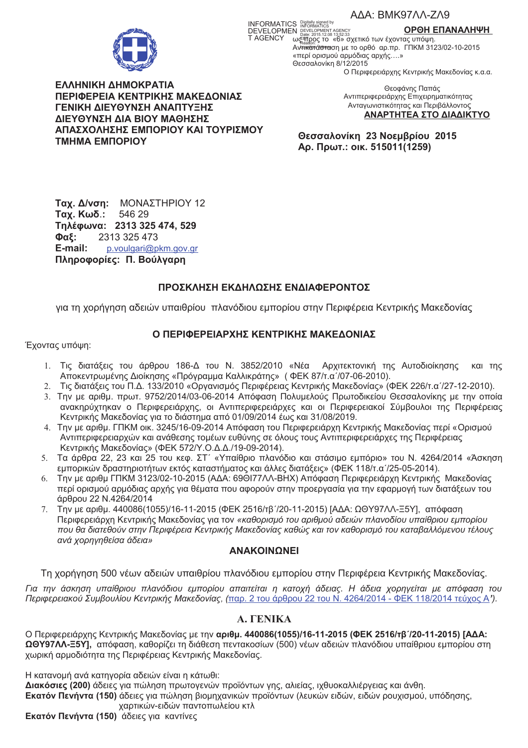

INFORMATICS Distances by a conservation of the CODOH E<br>DEVELOPMEN DEVELOPMENT AGENCY **CODOH E**<br>T AGENCY ως TO<sub>2015</sub> 2015 135233

ΟΡΘΗ ΕΠΑΝΑΛΗΨΗ

AVERICATION CONTROL 10-2015 «περί ορισμού αρμόδιας αρχής....» Θεσσαλονίκη 8/12/2015 Ο Περιφερειάρχης Κεντρικής Μακεδονίας κ.α.α.

ΕΛΛΗΝΙΚΗ ΔΗΜΟΚΡΑΤΙΑ ΠΕΡΙΦΕΡΕΙΑ ΚΕΝΤΡΙΚΗΣ ΜΑΚΕΔΟΝΙΑΣ ΓΕΝΙΚΗ ΔΙΕΥΘΥΝΣΗ ΑΝΑΠΤΥΞΗΣ ΔΙΕΥΘΥΝΣΗ ΔΙΑ ΒΙΟΥ ΜΑΘΗΣΗΣ ΑΠΑΣΧΟΛΗΣΗΣ ΕΜΠΟΡΙΟΥ ΚΑΙ ΤΟΥΡΙΣΜΟΥ **TMHMA EMNOPIOY** 

Θεοφάνης Παπάς Αντιπεριφερειάρχης Επιχειρηματικότητας Ανταγωνιστικότητας και Περιβάλλοντος ΑΝΑΡΤΗΤΕΑ ΣΤΟ ΔΙΑΔΙΚΤΥΟ

Θεσσαλονίκη 23 Νοεμβρίου 2015 Αρ. Πρωτ.: οικ. 515011(1259)

Ταχ. Δ/νση: ΜΟΝΑΣΤΗΡΙΟΥ 12 Ταχ. Κωδ.: 546 29 Τηλέφωνα: 2313 325 474, 529 Φαξ: 2313 325 473 E-mail: p.voulgari@pkm.gov.gr Πληροφορίες: Π. Βούλγαρη

# ΠΡΟΣΚΛΗΣΗ ΕΚΔΗΛΩΣΗΣ ΕΝΔΙΑΦΕΡΟΝΤΟΣ

για τη χορήγηση αδειών υπαιθρίου πλανόδιου εμπορίου στην Περιφέρεια Κεντρικής Μακεδονίας

## Ο ΠΕΡΙΦΕΡΕΙΑΡΧΗΣ ΚΕΝΤΡΙΚΗΣ ΜΑΚΕΔΟΝΙΑΣ

Έχοντας υπόψη:

- 1. Τις διατάξεις του άρθρου 186-Δ του Ν. 3852/2010 «Νέα Αρχιτεκτονική της Αυτοδιοίκησης και της Αποκεντρωμένης Διοίκησης «Πρόγραμμα Καλλικράτης» (ΦΕΚ 87/τ.α'/07-06-2010).
- 2. Τις διατάξεις του Π.Δ. 133/2010 «Οργανισμός Περιφέρειας Κεντρικής Μακεδονίας» (ΦΕΚ 226/τ.α /27-12-2010).
- 3. Την με αριθμ. πρωτ. 9752/2014/03-06-2014 Απόφαση Πολυμελούς Πρωτοδικείου Θεσσαλονίκης με την οποία ανακηρύχτηκαν ο Περιφερειάρχης, οι Αντιπεριφερειάρχες και οι Περιφερειακοί Σύμβουλοι της Περιφέρειας Κεντρικής Μακεδονίας για το διάστημα από 01/09/2014 έως και 31/08/2019.
- 4. Την με αριθμ. ΓΠΚΜ οικ. 3245/16-09-2014 Απόφαση του Περιφερειάρχη Κεντρικής Μακεδονίας περί «Ορισμού Αντιπεριφερειαρχών και ανάθεσης τομέων ευθύνης σε όλους τους Αντιπεριφερειάρχες της Περιφέρειας Κεντρικής Μακεδονίας» (ΦΕΚ 572/Υ.Ο.Δ.Δ./19-09-2014).
- 5. Τα άρθρα 22, 23 και 25 του κεφ. ΣΤ΄ «Υπαίθριο πλανόδιο και στάσιμο εμπόριο» του Ν. 4264/2014 «Άσκηση εμπορικών δραστηριοτήτων εκτός καταστήματος και άλλες διατάξεις» (ΦΕΚ 118/τ.α'/25-05-2014).
- 6. Την με αριθμ ΓΠΚΜ 3123/02-10-2015 (ΑΔΑ: 69ΘΙ77ΛΛ-ΒΗΧ) Απόφαση Περιφερειάρχη Κεντρικής Μακεδονίας περί ορισμού αρμόδιας αρχής για θέματα που αφορούν στην προεργασία για την εφαρμογή των διατάξεων του άρθρου 22 Ν.4264/2014
- 7. Την με αριθμ. 440086(1055)/16-11-2015 (ΦΕΚ 2516/τβ'/20-11-2015) [ΑΔΑ: ΩΘΥ97ΛΛ-Ξ5Υ], απόφαση Περιφερειάρχη Κεντρικής Μακεδονίας για τον «καθορισμό του αριθμού αδειών πλανοδίου υπαίθριου εμπορίου που θα διατεθούν στην Περιφέρεια Κεντρικής Μακεδονίας καθώς και τον καθορισμό του καταβαλλόμενου τέλους ανά χορηνηθείσα άδεια»

## **ANAKOINONEI**

Τη χορήγηση 500 νέων αδειών υπαιθρίου πλανόδιου εμπορίου στην Περιφέρεια Κεντρικής Μακεδονίας.

Για την άσκηση υπαίθριου πλανόδιου εμπορίου απαιτείται η κατοχή άδειας. Η άδεια χορηγείται με απόφαση του Περιφερειακού Συμβουλίου Κεντρικής Μακεδονίας, (παρ. 2 του άρθρου 22 του Ν. 4264/2014 - ΦΕΚ 118/2014 τεύχος Α'),

# **A. FENIKA**

Ο Περιφερειάρχης Κεντρικής Μακεδονίας με την αριθμ. 440086(1055)/16-11-2015 (ΦΕΚ 2516/τβ'/20-11-2015) [ΑΔΑ: ΩΘΥ97ΛΛ-Ξ5Υ], απόφαση, καθορίζει τη διάθεση πεντακοσίων (500) νέων αδειών πλανόδιου υπαίθριου εμπορίου στη χωρική αρμοδιότητα της Περιφέρειας Κεντρικής Μακεδονίας.

Η κατανομή ανά κατηγορία αδειών είναι η κάτωθι:

Διακόσιες (200) άδειες για πώληση πρωτογενών προϊόντων γης, αλιείας, ιχθυοκαλλιέργειας και άνθη. Εκατόν Πενήντα (150) άδειες για πώληση βιομηχανικών προϊόντων (λευκών ειδών, ειδών ρουχισμού, υπόδησης, χαρτικών-ειδών παντοπωλείου κτλ

Εκατόν Πενήντα (150) άδειες για καντίνες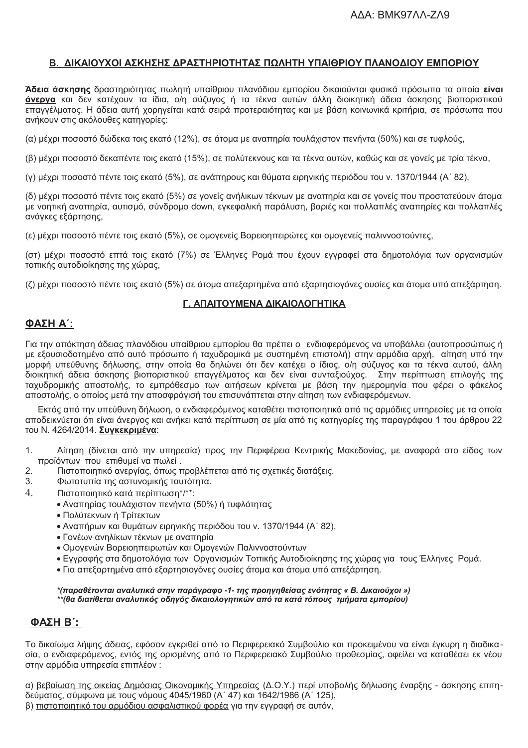# Β. ΔΙΚΑΙΟΥΧΟΙ ΑΣΚΗΣΗΣ ΔΡΑΣΤΗΡΙΟΤΗΤΑΣ ΠΩΛΗΤΗ ΥΠΑΙΘΡΙΟΥ ΠΛΑΝΟΔΙΟΥ ΕΜΠΟΡΙΟΥ

Άδεια άσκησης δραστηριότητας πωλητή υπαίθριου πλανόδιου εμπορίου δικαιούνται φυσικά πρόσωπα τα οποία είναι άνεργα και δεν κατέχουν τα ίδια, ο/η σύζυγος ή τα τέκνα αυτών άλλη διοικητική άδεια άσκησης βιοποριστικού επαγγέλματος. Η άδεια αυτή χορηγείται κατά σειρά προτεραιότητας και με βάση κοινωνικά κριτήρια, σε πρόσωπα που ανήκουν στις ακόλουθες κατηγορίες:

(α) μέχρι ποσοστό δώδεκα τοις εκατό (12%), σε άτομα με αναπηρία τουλάχιστον πενήντα (50%) και σε τυφλούς,

(β) μέχρι ποσοστό δεκαπέντε τοις εκατό (15%), σε πολύτεκνους και τα τέκνα αυτών, καθώς και σε γονείς με τρία τέκνα,

(γ) μέχρι ποσοστό πέντε τοις εκατό (5%), σε ανάπηρους και θύματα ειρηνικής περιόδου του ν. 1370/1944 (Α΄ 82),

(δ) μέχρι ποσοστό πέντε τοις εκατό (5%) σε γονείς ανήλικων τέκνων με αναπηρία και σε γονείς που προστατεύουν άτομα με νοητική αναπηρία, αυτισμό, σύνδρομο down, εγκεφαλική παράλυση, βαριές και πολλαπλές αναπηρίες και πολλαπλές ανάγκες εξάρτησης,

(ε) μέχρι ποσοστό πέντε τοις εκατό (5%), σε ομογενείς Βορειοηπειρώτες και ομογενείς παλιννοστούντες,

(στ) μέχρι ποσοστό επτά τοις εκατό (7%) σε Έλληνες Ρομά που έχουν εγγραφεί στα δημοτολόγια των οργανισμών τοπικής αυτοδιοίκησης της χώρας,

(ζ) μέχρι ποσοστό πέντε τοις εκατό (5%) σε άτομα απεξαρτημένα από εξαρτησιονόνες ουσίες και άτομα υπό απεξάρτηση.

## Γ. ΑΠΑΙΤΟΥΜΕΝΑ ΔΙΚΑΙΟΛΟΓΗΤΙΚΑ

## ΦΑΣΗ Α΄:

Για την απόκτηση άδειας πλανόδιου υπαίθριου εμπορίου θα πρέπει ο ενδιαφερόμενος να υποβάλλει (αυτοπροσώπως ή με εξουσιοδοτημένο από αυτό πρόσωπο ή ταχυδρομικά με συστημένη επιστολή) στην αρμόδια αρχή, αίτηση υπό την μορφή υπεύθυνης δήλωσης, στην οποία θα δηλώνει ότι δεν κατέχει ο ίδιος, ο/η σύζυγος και τα τέκνα αυτού, άλλη διοικητική άδεια άσκησης βιοποριστικού επαγγέλματος και δεν είναι συνταξιούχος. Στην περίπτωση επιλογής της ταχυδρομικής αποστολής, το εμπρόθεσμο των αιτήσεων κρίνεται με βάση την ημερομηνία που φέρει ο φάκελος αποστολής, ο οποίος μετά την αποσφράγισή του επισυνάπτεται στην αίτηση των ενδιαφερόμενων.

Εκτός από την υπεύθυνη δήλωση, ο ενδιαφερόμενος καταθέτει πιστοποιητικά από τις αρμόδιες υπηρεσίες με τα οποία αποδεικνύεται ότι είναι άνεργος και ανήκει κατά περίπτωση σε μία από τις κατηγορίες της παραγράφου 1 του άρθρου 22 του Ν. 4264/2014. Συγκεκριμένα:

- $\mathbf{1}$ . Αίτηση (δίνεται από την υπηρεσία) προς την Περιφέρεια Κεντρικής Μακεδονίας, με αναφορά στο είδος των προϊόντων που επιθυμεί να πωλεί.
- $2.$ Πιστοποιητικό ανεργίας, όπως προβλέπεται από τις σχετικές διατάξεις.
- 3. Φωτοτυπία της αστυνομικής ταυτότητα.
- $\overline{4}$ Πιστοποιητικό κατά περίπτωση\*/\*\*:
	- Αναπηρίας τουλάχιστον πενήντα (50%) ή τυφλότητας
	- Πολύτεκνων ή Τρίτεκτων
	- Αναπήρων και θυμάτων ειρηνικής περιόδου του ν. 1370/1944 (Α' 82).
	- Γονέων ανηλίκων τέκνων με αναπηρία
	- · Ομογενών Βορειοηπειρωτών και Ομογενών Παλιννοστούντων
	- · Εννοαφής στα δημοτολόγια των Οργανισμών Τοπικής Αυτοδιοίκησης της χώρας για τους Έλληνες Ρομά.
	- Για απεξαρτημένα από εξαρτησιογόνες ουσίες άτομα και άτομα υπό απεξάρτηση.

#### \*(παραθέτονται αναλυτικά στην παράγραφο -1- της προηγηθείσας ενότητας « Β. Δικαιούχοι ») \*\*(θα διατίθεται αναλυτικός οδηγός δικαιολογητικών από τα κατά τόπους τμήματα εμπορίου)

## **ΦΑΣΗ Β΄:**

Το δικαίωμα λήψης άδειας, εφόσον εγκριθεί από το Περιφερειακό Συμβούλιο και προκειμένου να είναι έγκυρη η διαδικασία, ο ενδιαφερόμενος, εντός της ορισμένης από το Περιφερειακό Συμβούλιο προθεσμίας, οφείλει να καταθέσει εκ νέου στην αρμόδια υπηρεσία επιπλέον :

α) βεβαίωση της οικείας Δημόσιας Οικονομικής Υπηρεσίας (Δ.Ο.Υ.) περί υποβολής δήλωσης έναρξης - άσκησης επιτηδεύματος, σύμφωνα με τους νόμους 4045/1960 (Α' 47) και 1642/1986 (Α' 125), β) πιστοποιητικό του αρμόδιου ασφαλιστικού φορέα για την εγγραφή σε αυτόν,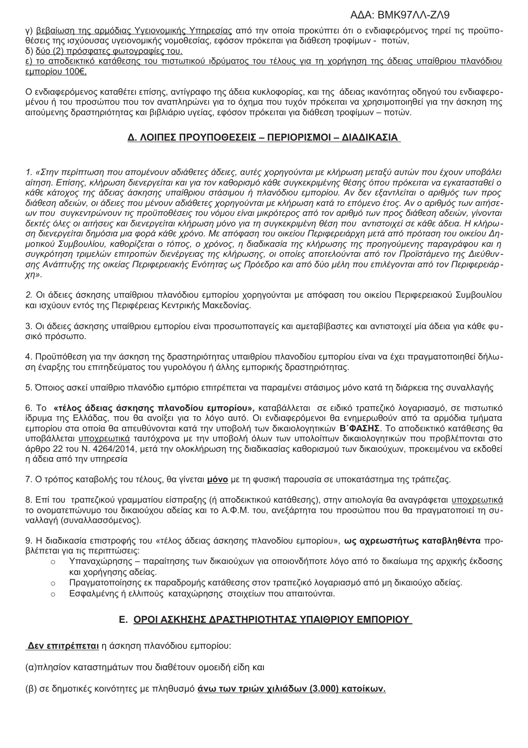### AΔA: BMK97ΛΛ-ΖΛ9

γ) βεβαίωση της αρμόδιας Υγειονομικής Υπηρεσίας από την οποία προκύπτει ότι ο ενδιαφερόμενος τηρεί τις προϋποθέσεις της ισχύουσας υγειονομικής νομοθεσίας, εφόσον πρόκειται για διάθεση τροφίμων - ποτών, δ) δύο (2) πρόσφατες φωτογραφίες του.

ε) το αποδεικτικό κατάθεσης του πιστωτικού ιδρύματος του τέλους για τη χορήγηση της άδειας υπαίθριου πλανόδιου εμπορίου 100€.

Ο ενδιαφερόμενος καταθέτει επίσης, αντίγραφο της άδεια κυκλοφορίας, και της άδειας ικανότητας οδηγού του ενδιαφερομένου ή του προσώπου που τον αναπληρώνει για το όχημα που τυχόν πρόκειται να χρησιμοποιηθεί για την άσκηση της αιτούμενης δραστηριότητας και βιβλιάριο υγείας, εφόσον πρόκειται για διάθεση τροφίμων – ποτών.

# Δ. ΛΟΙΠΕΣ ΠΡΟΥΠΟΘΕΣΕΙΣ - ΠΕΡΙΟΡΙΣΜΟΙ - ΔΙΑΔΙΚΑΣΙΑ

1. «Στην περίπτωση που απομένουν αδιάθετες άδειες, αυτές χορηγούνται με κλήρωση μεταξύ αυτών που έχουν υποβάλει αίτηση. Επίσης, κλήρωση διενεργείται και για τον καθορισμό κάθε συγκεκριμένης θέσης όπου πρόκειται να εγκατασταθεί ο κάθε κάτοχος της άδειας άσκησης υπαίθριου στάσιμου ή πλανόδιου εμπορίου. Αν δεν εξαντλείται ο αριθμός των προς διάθεση αδειών, οι άδειες που μένουν αδιάθετες χορηγούνται με κλήρωση κατά το επόμενο έτος. Αν ο αριθμός των αιτήσεων που συγκεντρώνουν τις προϋποθέσεις του νόμου είναι μικρότερος από τον αριθμό των προς διάθεση αδειών, γίνονται δεκτές όλες οι αιτήσεις και διενεργείται κλήρωση μόνο για τη συγκεκριμένη θέση που αντιστοιχεί σε κάθε άδεια. Η κλήρωση διενεργείται δημόσια μια φορά κάθε χρόνο. Με απόφαση του οικείου Περιφερειάρχη μετά από πρόταση του οικείου Δημοτικού Συμβουλίου, καθορίζεται ο τόπος, ο χρόνος, η διαδικασία της κλήρωσης της προηγούμενης παραγράφου και η συγκρότηση τριμελών επιτροπών διενέργειας της κλήρωσης, οι οποίες αποτελούνται από τον Προϊστάμενο της Διεύθυνσης Ανάπτυξης της οικείας Περιφερειακής Ενότητας ως Πρόεδρο και από δύο μέλη που επιλέγονται από τον Περιφερειάρ- $X/\gamma$ .

2. Οι άδειες άσκησης υπαίθριου πλανόδιου εμπορίου χορηγούνται με απόφαση του οικείου Περιφερειακού Συμβουλίου και ισχύουν εντός της Περιφέρειας Κεντρικής Μακεδονίας.

3. Οι άδειες άσκησης υπαίθριου εμπορίου είναι προσωποπανείς και αμεταβίβαστες και αντιστοιχεί μία άδεια νια κάθε φυσικό πρόσωπο.

4. Προϋπόθεση για την άσκηση της δραστηριότητας υπαιθρίου πλανοδίου εμπορίου είναι να έχει πραγματοποιηθεί δήλωση έναρξης του επιτηδεύματος του γυρολόγου ή άλλης εμπορικής δραστηριότητας.

5. Όποιος ασκεί υπαίθριο πλανόδιο εμπόριο επιτρέπεται να παραμένει στάσιμος μόνο κατά τη διάρκεια της συναλλαγής

6. Το «τέλος άδειας άσκησης πλανοδίου εμπορίου», καταβάλλεται σε ειδικό τραπεζικό λογαριασμό, σε πιστωτικό ίδρυμα της Ελλάδας, που θα ανοίξει για το λόγο αυτό. Οι ενδιαφερόμενοι θα ενημερωθούν από τα αρμόδια τμήματα εμπορίου στα οποία θα απευθύνονται κατά την υποβολή των δικαιολογητικών Β΄ ΦΑΣΗΣ. Το αποδεικτικό κατάθεσης θα υποβάλλεται υποχρεωτικά ταυτόχρονα με την υποβολή όλων των υπολοίπων δικαιολογητικών που προβλέπονται στο άρθρο 22 του Ν. 4264/2014, μετά την ολοκλήρωση της διαδικασίας καθορισμού των δικαιούχων, προκειμένου να εκδοθεί η άδεια από την υπηρεσία

7. Ο τρόπος καταβολής του τέλους, θα γίνεται μόνο με τη φυσική παρουσία σε υποκατάστημα της τράπεζας.

8. Επί του τραπεζικού γραμματίου είσπραξης (ή αποδεικτικού κατάθεσης), στην αιτιολογία θα αναγράφεται υποχρεωτικά το ονοματεπώνυμο του δικαιούχου αδείας και το Α.Φ.Μ. του, ανεξάρτητα του προσώπου που θα πραγματοποιεί τη συναλλαγή (συναλλασσόμενος).

9. Η διαδικασία επιστροφής του «τέλος άδειας άσκησης πλανοδίου εμπορίου», **ως αγρεωστήτως καταβληθέντα** προβλέπεται νια τις περιπτώσεις:

- Υπαναχώρησης παραίτησης των δικαιούχων για οποιονδήποτε λόγο από το δικαίωμα της αρχικής έκδοσης  $\bigcap$ και χορήγησης αδείας.
- Πραγματοποίησης εκ παραδρομής κατάθεσης στον τραπεζικό λογαριασμό από μη δικαιούχο αδείας.  $\circ$
- Εσφαλμένης ή ελλιπούς καταχώρησης στοιχείων που απαιτούνται.  $\circ$

# Ε. ΟΡΟΙ ΑΣΚΗΣΗΣ ΔΡΑΣΤΗΡΙΟΤΗΤΑΣ ΥΠΑΙΘΡΙΟΥ ΕΜΠΟΡΙΟΥ

Δεν επιτρέπεται η άσκηση πλανόδιου εμπορίου:

(α) πλησίον καταστημάτων που διαθέτουν ομοειδή είδη και

(β) σε δημοτικές κοινότητες με πληθυσμό άνω των τριών χιλιάδων (3.000) κατοίκων.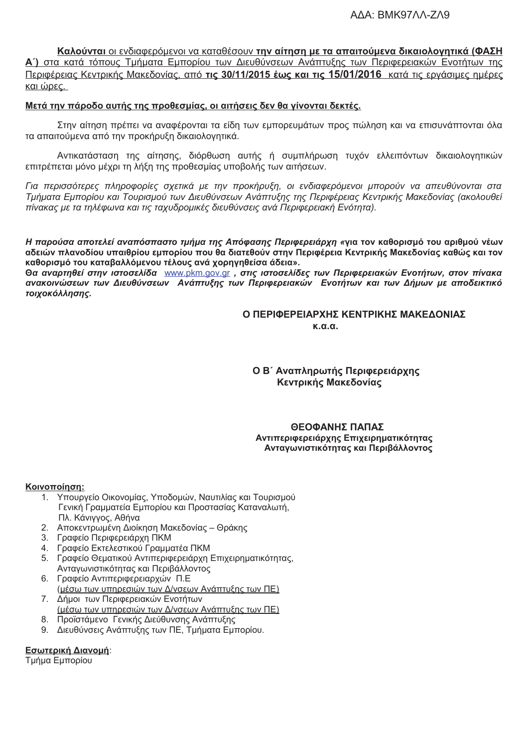Καλούνται οι ενδιαφερόμενοι να καταθέσουν την αίτηση με τα απαιτούμενα δικαιολογητικά (ΦΑΣΗ Α΄) στα κατά τόπους Τμήματα Εμπορίου των Διευθύνσεων Ανάπτυξης των Περιφερειακών Ενοτήτων της Περιφέρειας Κεντρικής Μακεδονίας, από τις 30/11/2015 έως και τις 15/01/2016 κατά τις εργάσιμες ημέρες και ώρες.

### Μετά την πάροδο αυτής της προθεσμίας, οι αιτήσεις δεν θα γίνονται δεκτές.

Στην αίτηση πρέπει να αναφέρονται τα είδη των εμπορευμάτων προς πώληση και να επισυνάπτονται όλα τα απαιτούμενα από την προκήρυξη δικαιολογητικά.

Αντικατάσταση της αίτησης, διόρθωση αυτής ή συμπλήρωση τυχόν ελλειπόντων δικαιολογητικών επιτρέπεται μόνο μέχρι τη λήξη της προθεσμίας υποβολής των αιτήσεων.

Για περισσότερες πληροφορίες σχετικά με την προκήρυξη, οι ενδιαφερόμενοι μπορούν να απευθύνονται στα Τμήματα Εμπορίου και Τουρισμού των Διευθύνσεων Ανάπτυξης της Περιφέρειας Κεντρικής Μακεδονίας (ακολουθεί πίνακας με τα τηλέφωνα και τις ταχυδρομικές διευθύνσεις ανά Περιφερειακή Ενότητα).

Η παρούσα αποτελεί αναπόσπαστο τμήμα της Απόφασης Περιφερειάρχη «για τον καθορισμό του αριθμού νέων αδειών πλανοδίου υπαιθρίου εμπορίου που θα διατεθούν στην Περιφέρεια Κεντρικής Μακεδονίας καθώς και τον καθορισμό του καταβαλλόμενου τέλους ανά χορηγηθείσα άδεια».

Θα αναρτηθεί στην ιστοσελίδα www.pkm.gov.gr , στις ιστοσελίδες των Περιφερειακών Ενοτήτων, στον πίνακα ανακοινώσεων των Διευθύνσεων Ανάπτυξης των Περιφερειακών Ενοτήτων και των Δήμων με αποδεικτικό τοιχοκόλλησης.

> Ο ΠΕΡΙΦΕΡΕΙΑΡΧΗΣ ΚΕΝΤΡΙΚΗΣ ΜΑΚΕΔΟΝΙΑΣ  $K \cap N$

Ο Β΄ Αναπληρωτής Περιφερειάρχης Κεντρικής Μακεδονίας

### ΘΕΟΦΑΝΗΣ ΠΑΠΑΣ Αντιπεριφερειάρχης Επιχειρηματικότητας Ανταγωνιστικότητας και Περιβάλλοντος

#### Κοινοποίηση:

- 1. Υπουργείο Οικονομίας, Υποδομών, Ναυτιλίας και Τουρισμού Γενική Γραμματεία Εμπορίου και Προστασίας Καταναλωτή, Πλ. Κάνιγγος, Αθήνα
- 2. Αποκεντρωμένη Διοίκηση Μακεδονίας Θράκης
- 3. Γραφείο Περιφερειάρχη ΠΚΜ
- 4. Γραφείο Εκτελεστικού Γραμματέα ΠΚΜ
- Γραφείο Θεματικού Αντιπεριφερειάρχη Επιχειρηματικότητας,  $5<sup>1</sup>$ Ανταγωνιστικότητας και Περιβάλλοντος
- 6. Γραφείο Αντιπεριφερειαρχών Π.Ε (μέσω των υπηρεσιών των Δ/νσεων Ανάπτυξης των ΠΕ)
- 7. Δήμοι των Περιφερειακών Ενοτήτων (μέσω των υπηρεσιών των Δ/νσεων Ανάπτυξης των ΠΕ)
- 8. Προϊστάμενο Γενικής Διεύθυνσης Ανάπτυξης
- 9. Διευθύνσεις Ανάπτυξης των ΠΕ, Τμήματα Εμπορίου.

#### Εσωτερική Διανομή:

Τμήμα Εμπορίου